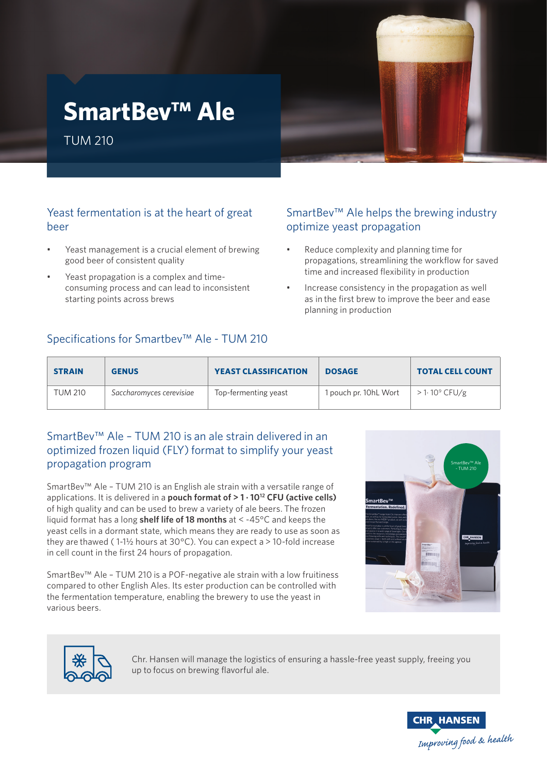# **SmartBev™ Ale**

TUM 210



SmartBev™ Ale helps the brewing industry

propagations, streamlining the workflow for saved

• Reduce complexity and planning time for

time and increased flexibility in production • Increase consistency in the propagation as well as in the first brew to improve the beer and ease

optimize yeast propagation

planning in production

#### Yeast fermentation is at the heart of great beer

- Yeast management is a crucial element of brewing good beer of consistent quality
- Yeast propagation is a complex and timeconsuming process and can lead to inconsistent starting points across brews

## Specifications for Smartbev™ Ale - TUM 210

# **STRAIN GENUS YEAST CLASSIFICATION DOSAGE TOTAL CELL COUNT** TUM 210 **Saccharomyces cerevisiae** Top-fermenting yeast 1 pouch pr. 10hL Wort > 1· 10<sup>9</sup> CFU/g

### SmartBev™ Ale – TUM 210 is an ale strain delivered in an optimized frozen liquid (FLY) format to simplify your yeast propagation program

SmartBev™ Ale – TUM 210 is an English ale strain with a versatile range of applications. It is delivered in a **pouch format of > 1 · 1012 CFU (active cells)**  of high quality and can be used to brew a variety of ale beers. The frozen liquid format has a long **shelf life of 18 months** at < -45°C and keeps the yeast cells in a dormant state, which means they are ready to use as soon as they are thawed (1-1½ hours at 30 $^{\circ}$ C). You can expect a > 10-fold increase in cell count in the first 24 hours of propagation.

SmartBev™ Ale – TUM 210 is a POF-negative ale strain with a low fruitiness compared to other English Ales. Its ester production can be controlled with the fermentation temperature, enabling the brewery to use the yeast in various beers.





Chr. Hansen will manage the logistics of ensuring a hassle-free yeast supply, freeing you up to focus on brewing flavorful ale.